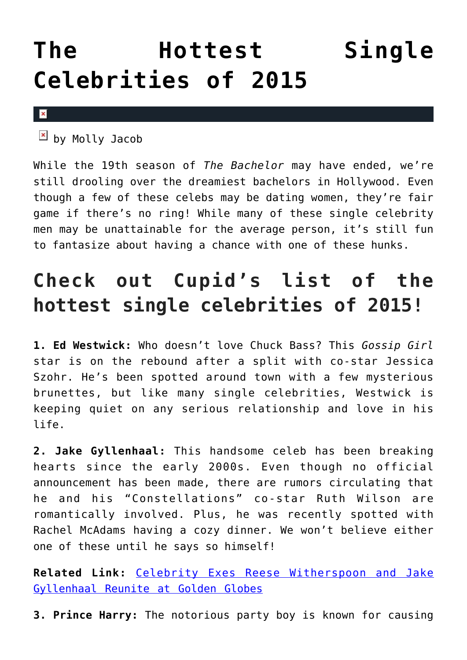## **[The Hottest Single](https://cupidspulse.com/89122/single-celebrities-single-celebrity-men-celebs/) [Celebrities of 2015](https://cupidspulse.com/89122/single-celebrities-single-celebrity-men-celebs/)**

 $\pmb{\times}$ 

 $\overline{2}$  by Molly Jacob

While the 19th season of *The Bachelor* may have ended, we're still drooling over the dreamiest bachelors in Hollywood. Even though a few of these celebs may be dating women, they're fair game if there's no ring! While many of these single celebrity men may be unattainable for the average person, it's still fun to fantasize about having a chance with one of these hunks.

## **Check out Cupid's list of the hottest single celebrities of 2015!**

**1. Ed Westwick:** Who doesn't love Chuck Bass? This *Gossip Girl* star is on the rebound after a split with co-star Jessica Szohr. He's been spotted around town with a few mysterious brunettes, but like many single celebrities, Westwick is keeping quiet on any serious relationship and love in his life.

**2. Jake Gyllenhaal:** This handsome celeb has been breaking hearts since the early 2000s. Even though no official announcement has been made, there are rumors circulating that he and his "Constellations" co-star Ruth Wilson are romantically involved. Plus, he was recently spotted with Rachel McAdams having a cozy dinner. We won't believe either one of these until he says so himself!

**Related Link:** [Celebrity Exes Reese Witherspoon and Jake](http://cupidspulse.com/84983/celebrity-exes-reese-witherspoon-jake-gyllenhaal-reunite-golden-globes/) [Gyllenhaal Reunite at Golden Globes](http://cupidspulse.com/84983/celebrity-exes-reese-witherspoon-jake-gyllenhaal-reunite-golden-globes/)

**3. Prince Harry:** The notorious party boy is known for causing